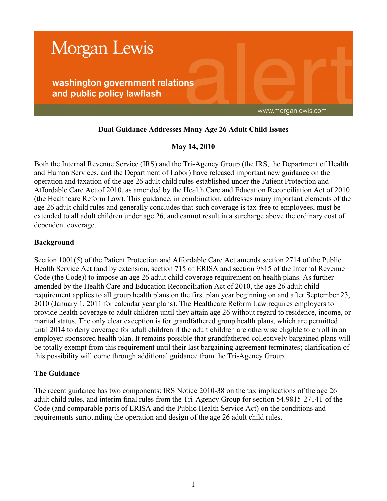

# **Dual Guidance Addresses Many Age 26 Adult Child Issues**

# **May 14, 2010**

Both the Internal Revenue Service (IRS) and the Tri-Agency Group (the IRS, the Department of Health and Human Services, and the Department of Labor) have released important new guidance on the operation and taxation of the age 26 adult child rules established under the Patient Protection and Affordable Care Act of 2010, as amended by the Health Care and Education Reconciliation Act of 2010 (the Healthcare Reform Law). This guidance, in combination, addresses many important elements of the age 26 adult child rules and generally concludes that such coverage is tax-free to employees, must be extended to all adult children under age 26, and cannot result in a surcharge above the ordinary cost of dependent coverage.

### **Background**

Section 1001(5) of the Patient Protection and Affordable Care Act amends section 2714 of the Public Health Service Act (and by extension, section 715 of ERISA and section 9815 of the Internal Revenue Code (the Code)) to impose an age 26 adult child coverage requirement on health plans. As further amended by the Health Care and Education Reconciliation Act of 2010, the age 26 adult child requirement applies to all group health plans on the first plan year beginning on and after September 23, 2010 (January 1, 2011 for calendar year plans). The Healthcare Reform Law requires employers to provide health coverage to adult children until they attain age 26 without regard to residence, income, or marital status. The only clear exception is for grandfathered group health plans, which are permitted until 2014 to deny coverage for adult children if the adult children are otherwise eligible to enroll in an employer-sponsored health plan. It remains possible that grandfathered collectively bargained plans will be totally exempt from this requirement until their last bargaining agreement terminates**;** clarification of this possibility will come through additional guidance from the Tri-Agency Group.

# **The Guidance**

The recent guidance has two components: IRS Notice 2010-38 on the tax implications of the age 26 adult child rules, and interim final rules from the Tri-Agency Group for section 54.9815-2714T of the Code (and comparable parts of ERISA and the Public Health Service Act) on the conditions and requirements surrounding the operation and design of the age 26 adult child rules.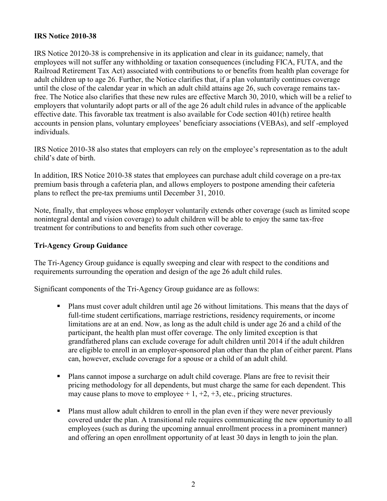### **IRS Notice 2010-38**

IRS Notice 20120-38 is comprehensive in its application and clear in its guidance; namely, that employees will not suffer any withholding or taxation consequences (including FICA, FUTA, and the Railroad Retirement Tax Act) associated with contributions to or benefits from health plan coverage for adult children up to age 26. Further, the Notice clarifies that, if a plan voluntarily continues coverage until the close of the calendar year in which an adult child attains age 26, such coverage remains taxfree. The Notice also clarifies that these new rules are effective March 30, 2010, which will be a relief to employers that voluntarily adopt parts or all of the age 26 adult child rules in advance of the applicable effective date. This favorable tax treatment is also available for Code section 401(h) retiree health accounts in pension plans, voluntary employees' beneficiary associations (VEBAs), and self -employed individuals.

IRS Notice 2010-38 also states that employers can rely on the employee's representation as to the adult child's date of birth.

In addition, IRS Notice 2010-38 states that employees can purchase adult child coverage on a pre-tax premium basis through a cafeteria plan, and allows employers to postpone amending their cafeteria plans to reflect the pre-tax premiums until December 31, 2010.

Note, finally, that employees whose employer voluntarily extends other coverage (such as limited scope nonintegral dental and vision coverage) to adult children will be able to enjoy the same tax-free treatment for contributions to and benefits from such other coverage.

### **Tri-Agency Group Guidance**

The Tri-Agency Group guidance is equally sweeping and clear with respect to the conditions and requirements surrounding the operation and design of the age 26 adult child rules.

Significant components of the Tri-Agency Group guidance are as follows:

- Plans must cover adult children until age 26 without limitations. This means that the days of full-time student certifications, marriage restrictions, residency requirements, or income limitations are at an end. Now, as long as the adult child is under age 26 and a child of the participant, the health plan must offer coverage. The only limited exception is that grandfathered plans can exclude coverage for adult children until 2014 if the adult children are eligible to enroll in an employer-sponsored plan other than the plan of either parent. Plans can, however, exclude coverage for a spouse or a child of an adult child.
- Plans cannot impose a surcharge on adult child coverage. Plans are free to revisit their pricing methodology for all dependents, but must charge the same for each dependent. This may cause plans to move to employee  $+1, +2, +3,$  etc., pricing structures.
- Plans must allow adult children to enroll in the plan even if they were never previously covered under the plan. A transitional rule requires communicating the new opportunity to all employees (such as during the upcoming annual enrollment process in a prominent manner) and offering an open enrollment opportunity of at least 30 days in length to join the plan.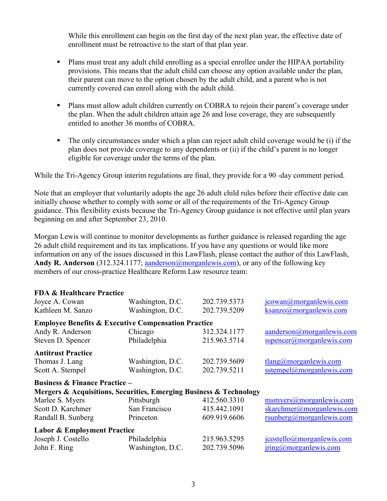While this enrollment can begin on the first day of the next plan year, the effective date of enrollment must be retroactive to the start of that plan year.

- Plans must treat any adult child enrolling as a special enrollee under the HIPAA portability provisions. This means that the adult child can choose any option available under the plan, their parent can move to the option chosen by the adult child, and a parent who is not currently covered can enroll along with the adult child.
- **Plans must allow adult children currently on COBRA to rejoin their parent's coverage under** the plan. When the adult children attain age 26 and lose coverage, they are subsequently entitled to another 36 months of COBRA.
- The only circumstances under which a plan can reject adult child coverage would be (i) if the plan does not provide coverage to any dependents or (ii) if the child's parent is no longer eligible for coverage under the terms of the plan.

While the Tri-Agency Group interim regulations are final, they provide for a 90-day comment period.

Note that an employer that voluntarily adopts the age 26 adult child rules before their effective date can initially choose whether to comply with some or all of the requirements of the Tri-Agency Group guidance. This flexibility exists because the Tri-Agency Group guidance is not effective until plan years beginning on and after September 23, 2010.

Morgan Lewis will continue to monitor developments as further guidance is released regarding the age 26 adult child requirement and its tax implications. If you have any questions or would like more information on any of the issues discussed in this LawFlash, please contact the author of this LawFlash, Andy **R. Anderson** (312.324.1177[; aanderson@morganlewis.com\)](mailto:aanderson@morganlewis.com), or any of the following key members of our cross-practice Healthcare Reform Law resource team:

| <b>FDA &amp; Healthcare Practice</b>                               |                  |              |                                         |
|--------------------------------------------------------------------|------------------|--------------|-----------------------------------------|
| Joyce A. Cowan                                                     | Washington, D.C. | 202.739.5373 | icowan@morganlewis.com                  |
| Kathleen M. Sanzo                                                  | Washington, D.C. | 202.739.5209 | $ksanzo(\omega)$ morganlewis.com        |
| <b>Employee Benefits &amp; Executive Compensation Practice</b>     |                  |              |                                         |
| Andy R. Anderson                                                   | Chicago          | 312.324.1177 | $a$ anderson $(a)$ morganlewis.com      |
| Steven D. Spencer                                                  | Philadelphia     | 215.963.5714 | sspencer(a)morganlewis.com              |
| <b>Antitrust Practice</b>                                          |                  |              |                                         |
| Thomas J. Lang                                                     | Washington, D.C. | 202.739.5609 | $tlang(\theta)$ morganiewis.com         |
| Scott A. Stempel                                                   | Washington, D.C. | 202.739.5211 | sstempel@morganlewis.com                |
| <b>Business &amp; Finance Practice -</b>                           |                  |              |                                         |
| Mergers & Acquisitions, Securities, Emerging Business & Technology |                  |              |                                         |
| Marlee S. Myers                                                    | Pittsburgh       | 412.560.3310 | msmyers@morganlewis.com                 |
| Scott D. Karchmer                                                  | San Francisco    | 415.442.1091 | skarchmer@morganlewis.com               |
| Randall B. Sunberg                                                 | Princeton        | 609.919.6606 | rsunberg(a) morganlewis.com             |
| <b>Labor &amp; Employment Practice</b>                             |                  |              |                                         |
| Joseph J. Costello                                                 | Philadelphia     | 215.963.5295 | jcostello@morganlewis.com               |
| John F. Ring                                                       | Washington, D.C. | 202.739.5096 | $\text{iring}(\omega)$ morgan lewis.com |
|                                                                    |                  |              |                                         |